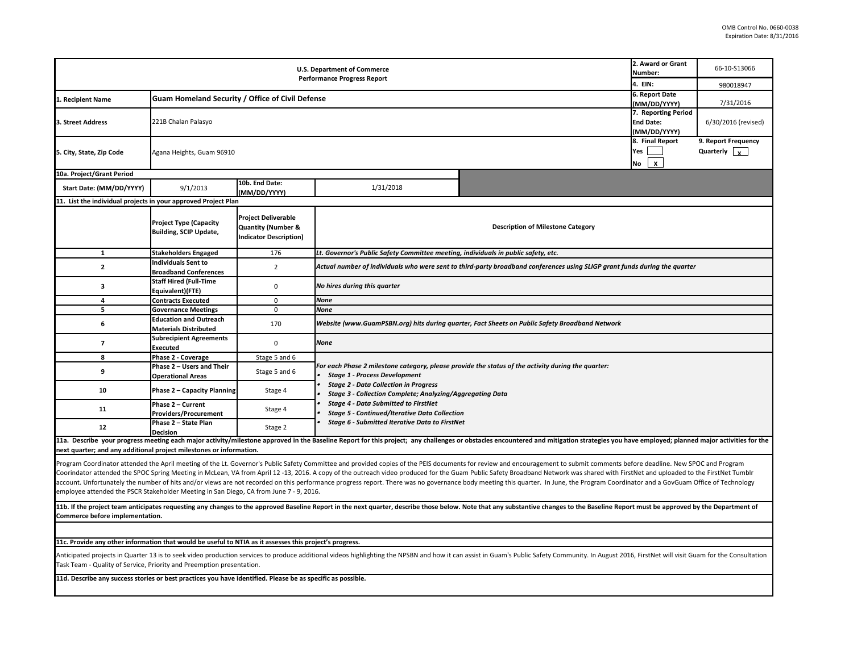| 2. Award or Grant<br><b>U.S. Department of Commerce</b><br>Number:<br><b>Performance Progress Report</b>    |                                                                |                                                                                              |                                                                                                                  |                                                                                                                                                                                                                                                                                                                                                                                                                                                                                                                                                                                                                                                                                                  |                                              | 66-10-S13066                                     |
|-------------------------------------------------------------------------------------------------------------|----------------------------------------------------------------|----------------------------------------------------------------------------------------------|------------------------------------------------------------------------------------------------------------------|--------------------------------------------------------------------------------------------------------------------------------------------------------------------------------------------------------------------------------------------------------------------------------------------------------------------------------------------------------------------------------------------------------------------------------------------------------------------------------------------------------------------------------------------------------------------------------------------------------------------------------------------------------------------------------------------------|----------------------------------------------|--------------------------------------------------|
|                                                                                                             |                                                                |                                                                                              |                                                                                                                  |                                                                                                                                                                                                                                                                                                                                                                                                                                                                                                                                                                                                                                                                                                  | 4. EIN:                                      | 980018947                                        |
| 1. Recipient Name                                                                                           | Guam Homeland Security / Office of Civil Defense               | 6. Report Date<br>(MM/DD/YYYY)                                                               | 7/31/2016                                                                                                        |                                                                                                                                                                                                                                                                                                                                                                                                                                                                                                                                                                                                                                                                                                  |                                              |                                                  |
| 3. Street Address                                                                                           | 221B Chalan Palasyo                                            |                                                                                              |                                                                                                                  |                                                                                                                                                                                                                                                                                                                                                                                                                                                                                                                                                                                                                                                                                                  |                                              |                                                  |
| 5. City, State, Zip Code                                                                                    | Agana Heights, Guam 96910                                      |                                                                                              |                                                                                                                  |                                                                                                                                                                                                                                                                                                                                                                                                                                                                                                                                                                                                                                                                                                  | 8. Final Report<br>Yes<br>$\mathbf{x}$<br>No | 9. Report Frequency<br>Quarterly $\vert x \vert$ |
| 10a. Project/Grant Period                                                                                   |                                                                |                                                                                              |                                                                                                                  |                                                                                                                                                                                                                                                                                                                                                                                                                                                                                                                                                                                                                                                                                                  |                                              |                                                  |
| Start Date: (MM/DD/YYYY)                                                                                    | 9/1/2013                                                       | 10b. End Date:<br>(MM/DD/YYYY)                                                               | 1/31/2018                                                                                                        |                                                                                                                                                                                                                                                                                                                                                                                                                                                                                                                                                                                                                                                                                                  |                                              |                                                  |
| 11. List the individual projects in your approved Project Plan                                              |                                                                |                                                                                              |                                                                                                                  |                                                                                                                                                                                                                                                                                                                                                                                                                                                                                                                                                                                                                                                                                                  |                                              |                                                  |
|                                                                                                             | <b>Project Type (Capacity</b><br><b>Building, SCIP Update,</b> | <b>Project Deliverable</b><br><b>Quantity (Number &amp;</b><br><b>Indicator Description)</b> |                                                                                                                  | <b>Description of Milestone Category</b>                                                                                                                                                                                                                                                                                                                                                                                                                                                                                                                                                                                                                                                         |                                              |                                                  |
| $\mathbf{1}$                                                                                                | <b>Stakeholders Engaged</b>                                    | 176                                                                                          | Lt. Governor's Public Safety Committee meeting, individuals in public safety, etc.                               |                                                                                                                                                                                                                                                                                                                                                                                                                                                                                                                                                                                                                                                                                                  |                                              |                                                  |
| $\mathbf{2}$                                                                                                | <b>Individuals Sent to</b><br><b>Broadband Conferences</b>     | $\overline{2}$                                                                               |                                                                                                                  | Actual number of individuals who were sent to third-party broadband conferences using SLIGP grant funds during the quarter                                                                                                                                                                                                                                                                                                                                                                                                                                                                                                                                                                       |                                              |                                                  |
| 3                                                                                                           | <b>Staff Hired (Full-Time</b><br>Equivalent)(FTE)              | $\mathbf 0$                                                                                  | No hires during this quarter                                                                                     |                                                                                                                                                                                                                                                                                                                                                                                                                                                                                                                                                                                                                                                                                                  |                                              |                                                  |
| 4                                                                                                           | <b>Contracts Executed</b>                                      | $\mathsf 0$                                                                                  | None                                                                                                             |                                                                                                                                                                                                                                                                                                                                                                                                                                                                                                                                                                                                                                                                                                  |                                              |                                                  |
| 5                                                                                                           | <b>Governance Meetings</b>                                     | $\mathbf 0$                                                                                  | None                                                                                                             |                                                                                                                                                                                                                                                                                                                                                                                                                                                                                                                                                                                                                                                                                                  |                                              |                                                  |
| 6                                                                                                           | <b>Education and Outreach</b><br><b>Materials Distributed</b>  | 170                                                                                          |                                                                                                                  | Website (www.GuamPSBN.org) hits during quarter, Fact Sheets on Public Safety Broadband Network                                                                                                                                                                                                                                                                                                                                                                                                                                                                                                                                                                                                   |                                              |                                                  |
| $\overline{\phantom{a}}$                                                                                    | <b>Subrecipient Agreements</b><br><b>Executed</b>              | 0                                                                                            | <b>None</b>                                                                                                      |                                                                                                                                                                                                                                                                                                                                                                                                                                                                                                                                                                                                                                                                                                  |                                              |                                                  |
| 8                                                                                                           | Phase 2 - Coverage                                             | Stage 5 and 6                                                                                |                                                                                                                  |                                                                                                                                                                                                                                                                                                                                                                                                                                                                                                                                                                                                                                                                                                  |                                              |                                                  |
| 9                                                                                                           | Phase 2 - Users and Their<br><b>Operational Areas</b>          | Stage 5 and 6                                                                                | <b>Stage 1 - Process Development</b>                                                                             | For each Phase 2 milestone category, please provide the status of the activity during the quarter:                                                                                                                                                                                                                                                                                                                                                                                                                                                                                                                                                                                               |                                              |                                                  |
| 10                                                                                                          | Phase 2 - Capacity Planning                                    | Stage 4                                                                                      | <b>Stage 2 - Data Collection in Progress</b><br><b>Stage 3 - Collection Complete; Analyzing/Aggregating Data</b> |                                                                                                                                                                                                                                                                                                                                                                                                                                                                                                                                                                                                                                                                                                  |                                              |                                                  |
| 11                                                                                                          | Phase 2 - Current<br>Providers/Procurement                     | Stage 4                                                                                      | <b>Stage 4 - Data Submitted to FirstNet</b><br><b>Stage 5 - Continued/Iterative Data Collection</b>              |                                                                                                                                                                                                                                                                                                                                                                                                                                                                                                                                                                                                                                                                                                  |                                              |                                                  |
| 12                                                                                                          | Phase 2 - State Plan<br><b>Decision</b>                        | Stage 2                                                                                      | Stage 6 - Submitted Iterative Data to FirstNet                                                                   |                                                                                                                                                                                                                                                                                                                                                                                                                                                                                                                                                                                                                                                                                                  |                                              |                                                  |
| next quarter; and any additional project milestones or information.                                         |                                                                |                                                                                              |                                                                                                                  | 11a. Describe your progress meeting each major activity/milestone approved in the Baseline Report for this project; any challenges or obstacles encountered and mitigation strategies you have employed; planned major activit                                                                                                                                                                                                                                                                                                                                                                                                                                                                   |                                              |                                                  |
| employee attended the PSCR Stakeholder Meeting in San Diego, CA from June 7 - 9, 2016.                      |                                                                |                                                                                              |                                                                                                                  | Program Coordinator attended the April meeting of the Lt. Governor's Public Safety Committee and provided copies of the PEIS documents for review and encouragement to submit comments before deadline. New SPOC and Program<br>Coorindator attended the SPOC Spring Meeting in McLean, VA from April 12 -13, 2016. A copy of the outreach video produced for the Guam Public Safety Broadband Network was shared with FirstNet and uploaded to the FirstNet T<br>account. Unfortunately the number of hits and/or views are not recorded on this performance progress report. There was no governance body meeting this quarter. In June, the Program Coordinator and a GovGuam Office of Techn |                                              |                                                  |
| Commerce before implementation.                                                                             |                                                                |                                                                                              |                                                                                                                  | 11b. If the project team anticipates requesting any changes to the approved Baseline Report in the next quarter, describe those below. Note that any substantive changes to the Baseline Report must be approved by the Depart                                                                                                                                                                                                                                                                                                                                                                                                                                                                   |                                              |                                                  |
|                                                                                                             |                                                                |                                                                                              |                                                                                                                  |                                                                                                                                                                                                                                                                                                                                                                                                                                                                                                                                                                                                                                                                                                  |                                              |                                                  |
| 11c. Provide any other information that would be useful to NTIA as it assesses this project's progress.     |                                                                |                                                                                              |                                                                                                                  |                                                                                                                                                                                                                                                                                                                                                                                                                                                                                                                                                                                                                                                                                                  |                                              |                                                  |
| Task Team - Quality of Service, Priority and Preemption presentation.                                       |                                                                |                                                                                              |                                                                                                                  | Anticipated projects in Quarter 13 is to seek video production services to produce additional videos highlighting the NPSBN and how it can assist in Guam's Public Safety Community. In August 2016, FirstNet will visit Guam                                                                                                                                                                                                                                                                                                                                                                                                                                                                    |                                              |                                                  |
| 11d. Describe any success stories or best practices you have identified. Please be as specific as possible. |                                                                |                                                                                              |                                                                                                                  |                                                                                                                                                                                                                                                                                                                                                                                                                                                                                                                                                                                                                                                                                                  |                                              |                                                  |